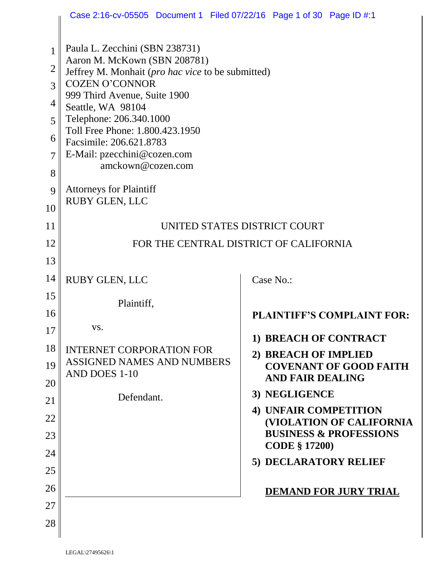|                | Case 2:16-cv-05505 Document 1 Filed 07/22/16 Page 1 of 30 Page ID #:1             |                                               |  |  |
|----------------|-----------------------------------------------------------------------------------|-----------------------------------------------|--|--|
| 1              | Paula L. Zecchini (SBN 238731)                                                    |                                               |  |  |
| $\overline{2}$ | Aaron M. McKown (SBN 208781)<br>Jeffrey M. Monhait (pro hac vice to be submitted) |                                               |  |  |
| 3              | <b>COZEN O'CONNOR</b>                                                             |                                               |  |  |
| 4              | 999 Third Avenue, Suite 1900<br>Seattle, WA 98104                                 |                                               |  |  |
| 5              | Telephone: 206.340.1000                                                           |                                               |  |  |
| 6              | Toll Free Phone: 1.800.423.1950<br>Facsimile: 206.621.8783                        |                                               |  |  |
| 7              | E-Mail: pzecchini@cozen.com                                                       |                                               |  |  |
| 8              | amckown@cozen.com                                                                 |                                               |  |  |
| 9              | <b>Attorneys for Plaintiff</b><br><b>RUBY GLEN, LLC</b>                           |                                               |  |  |
| 10             |                                                                                   |                                               |  |  |
| 11             | UNITED STATES DISTRICT COURT                                                      |                                               |  |  |
| 12             | FOR THE CENTRAL DISTRICT OF CALIFORNIA                                            |                                               |  |  |
| 13             |                                                                                   |                                               |  |  |
| 14             | <b>RUBY GLEN, LLC</b>                                                             | Case No.:                                     |  |  |
| 15             | Plaintiff,                                                                        |                                               |  |  |
| 16             |                                                                                   | PLAINTIFF'S COMPLAINT FOR:                    |  |  |
| 17             | VS.                                                                               | 1) BREACH OF CONTRACT                         |  |  |
| 18             | <b>INTERNET CORPORATION FOR</b>                                                   | 2) BREACH OF IMPLIED                          |  |  |
| 19             | <b>ASSIGNED NAMES AND NUMBERS</b><br>AND DOES 1-10                                | <b>COVENANT OF GOOD FAITH</b>                 |  |  |
| 20             |                                                                                   | <b>AND FAIR DEALING</b>                       |  |  |
| 21             | Defendant.                                                                        | 3) NEGLIGENCE<br><b>4) UNFAIR COMPETITION</b> |  |  |
| 22             |                                                                                   | (VIOLATION OF CALIFORNIA                      |  |  |
| 23             |                                                                                   | <b>BUSINESS &amp; PROFESSIONS</b>             |  |  |
| 24             |                                                                                   | <b>CODE § 17200)</b><br>5) DECLARATORY RELIEF |  |  |
| 25             |                                                                                   |                                               |  |  |
| 26             |                                                                                   | <b>DEMAND FOR JURY TRIAL</b>                  |  |  |
| 27             |                                                                                   |                                               |  |  |
| 28             |                                                                                   |                                               |  |  |
|                |                                                                                   |                                               |  |  |

LEGAL\27495626\1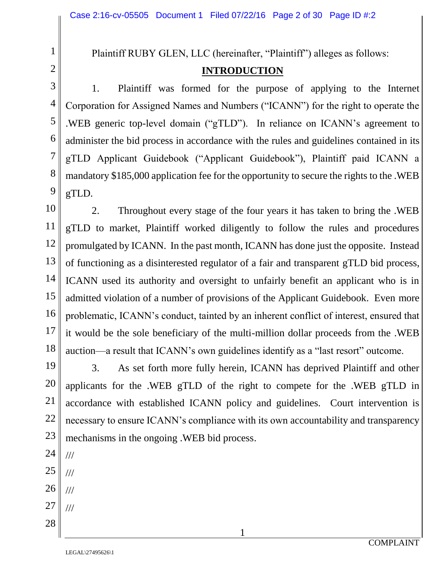### Plaintiff RUBY GLEN, LLC (hereinafter, "Plaintiff") alleges as follows:

#### **INTRODUCTION**

1. Plaintiff was formed for the purpose of applying to the Internet Corporation for Assigned Names and Numbers ("ICANN") for the right to operate the .WEB generic top-level domain ("gTLD"). In reliance on ICANN's agreement to administer the bid process in accordance with the rules and guidelines contained in its gTLD Applicant Guidebook ("Applicant Guidebook"), Plaintiff paid ICANN a mandatory \$185,000 application fee for the opportunity to secure the rights to the .WEB gTLD.

2. Throughout every stage of the four years it has taken to bring the .WEB gTLD to market, Plaintiff worked diligently to follow the rules and procedures promulgated by ICANN. In the past month, ICANN has done just the opposite. Instead of functioning as a disinterested regulator of a fair and transparent gTLD bid process, ICANN used its authority and oversight to unfairly benefit an applicant who is in admitted violation of a number of provisions of the Applicant Guidebook. Even more problematic, ICANN's conduct, tainted by an inherent conflict of interest, ensured that it would be the sole beneficiary of the multi-million dollar proceeds from the .WEB auction—a result that ICANN's own guidelines identify as a "last resort" outcome.

19 20 21 22 23 3. As set forth more fully herein, ICANN has deprived Plaintiff and other applicants for the .WEB gTLD of the right to compete for the .WEB gTLD in accordance with established ICANN policy and guidelines. Court intervention is necessary to ensure ICANN's compliance with its own accountability and transparency mechanisms in the ongoing .WEB bid process.

1

25

///

///

///

///

24

1

2

3

4

5

6

7

8

9

10

11

12

13

14

15

16

17

18

- 26
- 27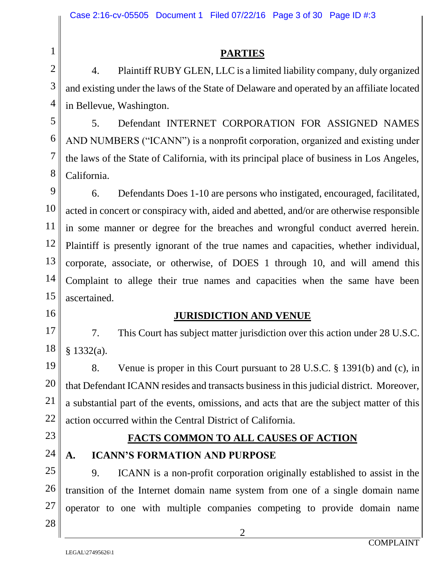#### **PARTIES**

4. Plaintiff RUBY GLEN, LLC is a limited liability company, duly organized and existing under the laws of the State of Delaware and operated by an affiliate located in Bellevue, Washington.

5. Defendant INTERNET CORPORATION FOR ASSIGNED NAMES AND NUMBERS ("ICANN") is a nonprofit corporation, organized and existing under the laws of the State of California, with its principal place of business in Los Angeles, California.

9 12 13 14 15 6. Defendants Does 1-10 are persons who instigated, encouraged, facilitated, acted in concert or conspiracy with, aided and abetted, and/or are otherwise responsible in some manner or degree for the breaches and wrongful conduct averred herein. Plaintiff is presently ignorant of the true names and capacities, whether individual, corporate, associate, or otherwise, of DOES 1 through 10, and will amend this Complaint to allege their true names and capacities when the same have been ascertained.

#### **JURISDICTION AND VENUE**

7. This Court has subject matter jurisdiction over this action under 28 U.S.C. § 1332(a).

8. Venue is proper in this Court pursuant to 28 U.S.C. § 1391(b) and (c), in that Defendant ICANN resides and transacts business in this judicial district. Moreover, a substantial part of the events, omissions, and acts that are the subject matter of this action occurred within the Central District of California.

# 23

24

1

2

3

4

5

6

7

8

10

11

16

17

18

19

20

21

22

# **FACTS COMMON TO ALL CAUSES OF ACTION A. ICANN'S FORMATION AND PURPOSE**

9. ICANN is a non-profit corporation originally established to assist in the transition of the Internet domain name system from one of a single domain name operator to one with multiple companies competing to provide domain name

2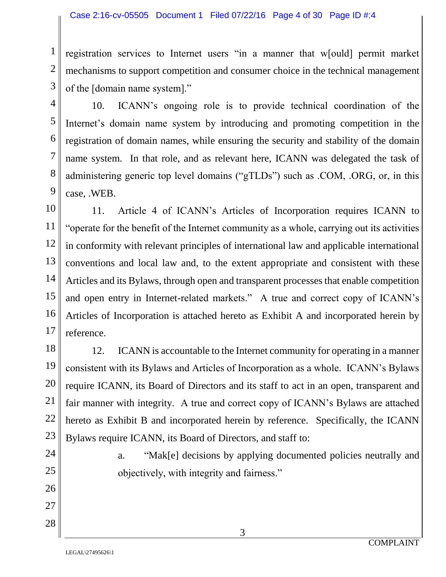registration services to Internet users "in a manner that w[ould] permit market mechanisms to support competition and consumer choice in the technical management of the [domain name system]."

1

2

10. ICANN's ongoing role is to provide technical coordination of the Internet's domain name system by introducing and promoting competition in the registration of domain names, while ensuring the security and stability of the domain name system. In that role, and as relevant here, ICANN was delegated the task of administering generic top level domains ("gTLDs") such as .COM, .ORG, or, in this case, .WEB.

11. Article 4 of ICANN's Articles of Incorporation requires ICANN to "operate for the benefit of the Internet community as a whole, carrying out its activities in conformity with relevant principles of international law and applicable international conventions and local law and, to the extent appropriate and consistent with these Articles and its Bylaws, through open and transparent processes that enable competition and open entry in Internet-related markets." A true and correct copy of ICANN's Articles of Incorporation is attached hereto as Exhibit A and incorporated herein by reference.

12. ICANN is accountable to the Internet community for operating in a manner consistent with its Bylaws and Articles of Incorporation as a whole. ICANN's Bylaws require ICANN, its Board of Directors and its staff to act in an open, transparent and fair manner with integrity. A true and correct copy of ICANN's Bylaws are attached hereto as Exhibit B and incorporated herein by reference. Specifically, the ICANN Bylaws require ICANN, its Board of Directors, and staff to:

> a. "Mak[e] decisions by applying documented policies neutrally and objectively, with integrity and fairness."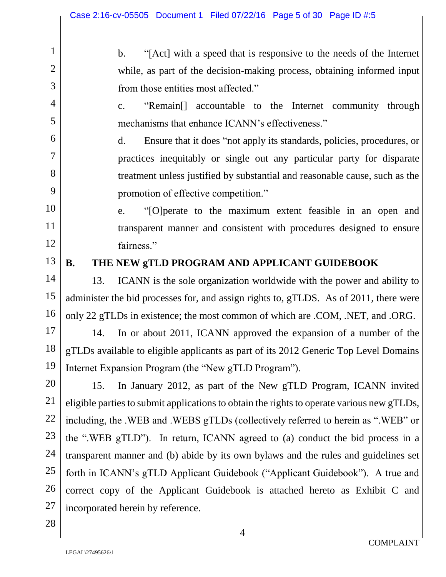b. "[Act] with a speed that is responsive to the needs of the Internet while, as part of the decision-making process, obtaining informed input from those entities most affected."

c. "Remain[] accountable to the Internet community through mechanisms that enhance ICANN's effectiveness."

d. Ensure that it does "not apply its standards, policies, procedures, or practices inequitably or single out any particular party for disparate treatment unless justified by substantial and reasonable cause, such as the promotion of effective competition."

e. "[O]perate to the maximum extent feasible in an open and transparent manner and consistent with procedures designed to ensure fairness."

#### 13

1

2

3

4

5

6

7

8

9

10

11

12

14

15

16

17

18

19

20

21

22

23

24

25

26

## **B. THE NEW gTLD PROGRAM AND APPLICANT GUIDEBOOK**

13. ICANN is the sole organization worldwide with the power and ability to administer the bid processes for, and assign rights to, gTLDS. As of 2011, there were only 22 gTLDs in existence; the most common of which are .COM, .NET, and .ORG.

14. In or about 2011, ICANN approved the expansion of a number of the gTLDs available to eligible applicants as part of its 2012 Generic Top Level Domains Internet Expansion Program (the "New gTLD Program").

15. In January 2012, as part of the New gTLD Program, ICANN invited eligible parties to submit applications to obtain the rights to operate various new gTLDs, including, the .WEB and .WEBS gTLDs (collectively referred to herein as ".WEB" or the ".WEB gTLD"). In return, ICANN agreed to (a) conduct the bid process in a transparent manner and (b) abide by its own bylaws and the rules and guidelines set forth in ICANN's gTLD Applicant Guidebook ("Applicant Guidebook"). A true and correct copy of the Applicant Guidebook is attached hereto as Exhibit C and incorporated herein by reference.

28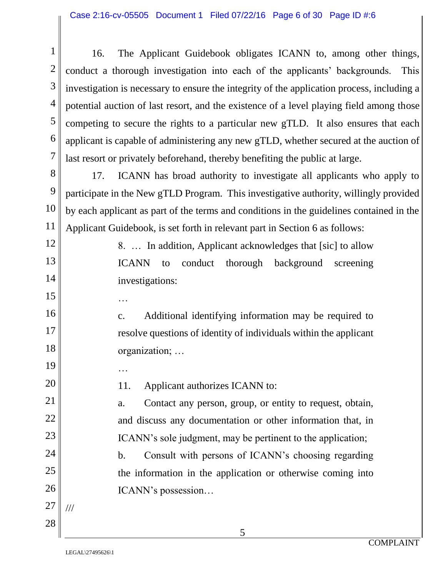16. The Applicant Guidebook obligates ICANN to, among other things, conduct a thorough investigation into each of the applicants' backgrounds. This investigation is necessary to ensure the integrity of the application process, including a potential auction of last resort, and the existence of a level playing field among those competing to secure the rights to a particular new gTLD. It also ensures that each applicant is capable of administering any new gTLD, whether secured at the auction of last resort or privately beforehand, thereby benefiting the public at large.

17. ICANN has broad authority to investigate all applicants who apply to participate in the New gTLD Program. This investigative authority, willingly provided by each applicant as part of the terms and conditions in the guidelines contained in the Applicant Guidebook, is set forth in relevant part in Section 6 as follows:

> 8. … In addition, Applicant acknowledges that [sic] to allow ICANN to conduct thorough background screening investigations:

c. Additional identifying information may be required to resolve questions of identity of individuals within the applicant organization; …

11. Applicant authorizes ICANN to:

a. Contact any person, group, or entity to request, obtain, and discuss any documentation or other information that, in ICANN's sole judgment, may be pertinent to the application;

b. Consult with persons of ICANN's choosing regarding the information in the application or otherwise coming into ICANN's possession…

…

…

1

///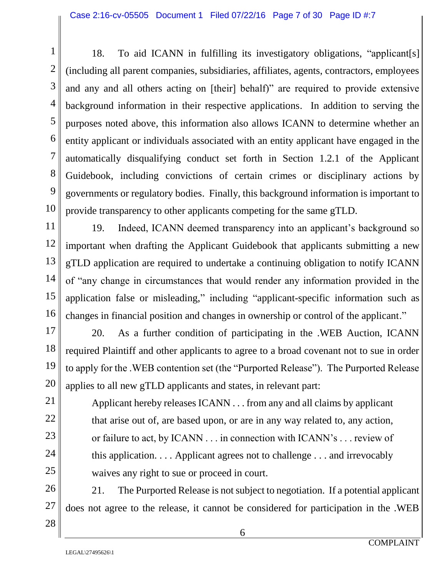18. To aid ICANN in fulfilling its investigatory obligations, "applicant[s] (including all parent companies, subsidiaries, affiliates, agents, contractors, employees and any and all others acting on [their] behalf)" are required to provide extensive background information in their respective applications. In addition to serving the purposes noted above, this information also allows ICANN to determine whether an entity applicant or individuals associated with an entity applicant have engaged in the automatically disqualifying conduct set forth in Section 1.2.1 of the Applicant Guidebook, including convictions of certain crimes or disciplinary actions by governments or regulatory bodies. Finally, this background information is important to provide transparency to other applicants competing for the same gTLD.

19. Indeed, ICANN deemed transparency into an applicant's background so important when drafting the Applicant Guidebook that applicants submitting a new gTLD application are required to undertake a continuing obligation to notify ICANN of "any change in circumstances that would render any information provided in the application false or misleading," including "applicant-specific information such as changes in financial position and changes in ownership or control of the applicant."

20. As a further condition of participating in the .WEB Auction, ICANN required Plaintiff and other applicants to agree to a broad covenant not to sue in order to apply for the .WEB contention set (the "Purported Release"). The Purported Release applies to all new gTLD applicants and states, in relevant part:

Applicant hereby releases ICANN . . . from any and all claims by applicant that arise out of, are based upon, or are in any way related to, any action, or failure to act, by ICANN . . . in connection with ICANN's . . . review of this application. . . . Applicant agrees not to challenge . . . and irrevocably waives any right to sue or proceed in court.

21. The Purported Release is not subject to negotiation. If a potential applicant does not agree to the release, it cannot be considered for participation in the .WEB

25 26 27 28

1

2

3

4

5

6

7

8

9

10

11

12

13

14

15

16

17

18

19

20

21

22

23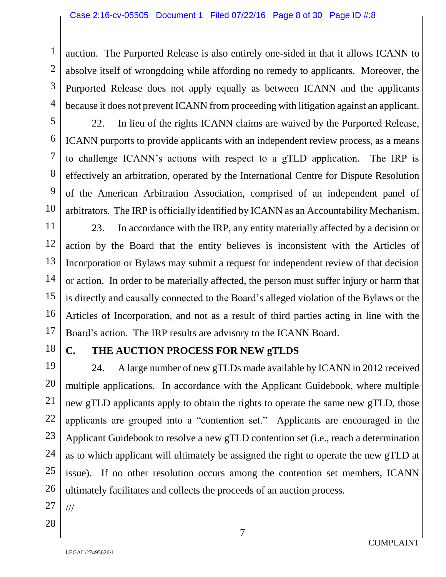auction. The Purported Release is also entirely one-sided in that it allows ICANN to absolve itself of wrongdoing while affording no remedy to applicants. Moreover, the Purported Release does not apply equally as between ICANN and the applicants because it does not prevent ICANN from proceeding with litigation against an applicant.

5 6

7

8

9

10

11

12

13

14

15

16

17

1

2

3

4

22. In lieu of the rights ICANN claims are waived by the Purported Release, ICANN purports to provide applicants with an independent review process, as a means to challenge ICANN's actions with respect to a gTLD application. The IRP is effectively an arbitration, operated by the International Centre for Dispute Resolution of the American Arbitration Association, comprised of an independent panel of arbitrators. The IRP is officially identified by ICANN as an Accountability Mechanism.

23. In accordance with the IRP, any entity materially affected by a decision or action by the Board that the entity believes is inconsistent with the Articles of Incorporation or Bylaws may submit a request for independent review of that decision or action. In order to be materially affected, the person must suffer injury or harm that is directly and causally connected to the Board's alleged violation of the Bylaws or the Articles of Incorporation, and not as a result of third parties acting in line with the Board's action. The IRP results are advisory to the ICANN Board.

18

19

20

21

22

23

24

25

26

## **C. THE AUCTION PROCESS FOR NEW gTLDS**

24. A large number of new gTLDs made available by ICANN in 2012 received multiple applications. In accordance with the Applicant Guidebook, where multiple new gTLD applicants apply to obtain the rights to operate the same new gTLD, those applicants are grouped into a "contention set." Applicants are encouraged in the Applicant Guidebook to resolve a new gTLD contention set (i.e., reach a determination as to which applicant will ultimately be assigned the right to operate the new gTLD at issue). If no other resolution occurs among the contention set members, ICANN ultimately facilitates and collects the proceeds of an auction process.

27 28

///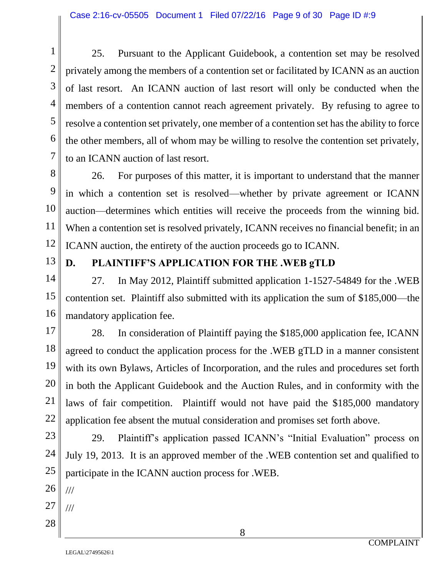25. Pursuant to the Applicant Guidebook, a contention set may be resolved privately among the members of a contention set or facilitated by ICANN as an auction of last resort. An ICANN auction of last resort will only be conducted when the members of a contention cannot reach agreement privately. By refusing to agree to resolve a contention set privately, one member of a contention set has the ability to force the other members, all of whom may be willing to resolve the contention set privately, to an ICANN auction of last resort.

26. For purposes of this matter, it is important to understand that the manner in which a contention set is resolved—whether by private agreement or ICANN auction—determines which entities will receive the proceeds from the winning bid. When a contention set is resolved privately, ICANN receives no financial benefit; in an ICANN auction, the entirety of the auction proceeds go to ICANN.

13

1

2

3

4

5

6

7

8

9

10

11

12

14

15

16

17

18

19

20

21

22

23

## **D. PLAINTIFF'S APPLICATION FOR THE .WEB gTLD**

27. In May 2012, Plaintiff submitted application 1-1527-54849 for the .WEB contention set. Plaintiff also submitted with its application the sum of \$185,000—the mandatory application fee.

28. In consideration of Plaintiff paying the \$185,000 application fee, ICANN agreed to conduct the application process for the .WEB gTLD in a manner consistent with its own Bylaws, Articles of Incorporation, and the rules and procedures set forth in both the Applicant Guidebook and the Auction Rules, and in conformity with the laws of fair competition.Plaintiff would not have paid the \$185,000 mandatory application fee absent the mutual consideration and promises set forth above.

29. Plaintiff's application passed ICANN's "Initial Evaluation" process on July 19, 2013. It is an approved member of the .WEB contention set and qualified to participate in the ICANN auction process for .WEB.

///

///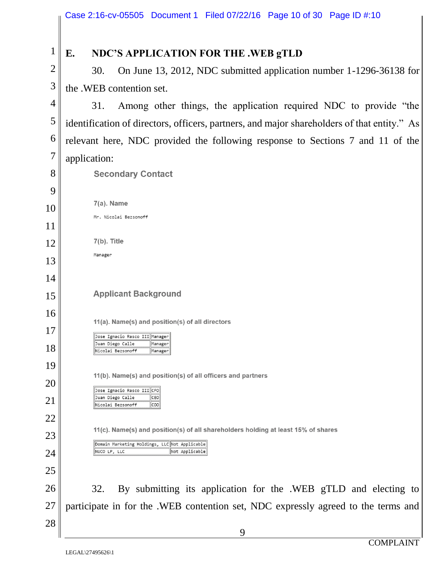| $\mathbf{1}$   | NDC'S APPLICATION FOR THE .WEB gTLD<br>E.                                                                                          |  |  |
|----------------|------------------------------------------------------------------------------------------------------------------------------------|--|--|
| $\overline{2}$ | On June 13, 2012, NDC submitted application number 1-1296-36138 for<br>30.                                                         |  |  |
| 3              | the .WEB contention set.                                                                                                           |  |  |
| $\overline{4}$ | Among other things, the application required NDC to provide "the<br>31.                                                            |  |  |
| 5              | identification of directors, officers, partners, and major shareholders of that entity." As                                        |  |  |
| 6              | relevant here, NDC provided the following response to Sections 7 and 11 of the                                                     |  |  |
| 7              | application:                                                                                                                       |  |  |
| 8              | <b>Secondary Contact</b>                                                                                                           |  |  |
| 9              |                                                                                                                                    |  |  |
| 10             | 7(a). Name<br>Mr. Nicolai Bezsonoff                                                                                                |  |  |
| 11             |                                                                                                                                    |  |  |
| 12             | 7(b). Title                                                                                                                        |  |  |
| 13             | Manager                                                                                                                            |  |  |
| 14             |                                                                                                                                    |  |  |
| 15             | <b>Applicant Background</b>                                                                                                        |  |  |
| 16             | 11(a). Name(s) and position(s) of all directors                                                                                    |  |  |
| 17             | Jose Ignacio Rasco III Manager                                                                                                     |  |  |
| 18             | Juan Diego Calle<br>Manager<br>Nicolai Bezsonoff<br>Manager                                                                        |  |  |
| 19             |                                                                                                                                    |  |  |
| 20             | 11(b). Name(s) and position(s) of all officers and partners<br>Jose Ignacio Rasco III  CFO                                         |  |  |
| 21             | Juan Diego Calle<br>CEO<br>Nicolai Bezsonoff<br>COO                                                                                |  |  |
| 22             |                                                                                                                                    |  |  |
| 23             | 11(c). Name(s) and position(s) of all shareholders holding at least 15% of shares<br>Domain Marketing Holdings, LLC Not Applicable |  |  |
| 24             | NUCO LP, LLC<br>Not Applicable                                                                                                     |  |  |
| 25             |                                                                                                                                    |  |  |
| 26             | By submitting its application for the .WEB gTLD and electing to<br>32.                                                             |  |  |
| 27             | participate in for the .WEB contention set, NDC expressly agreed to the terms and                                                  |  |  |
| 28             |                                                                                                                                    |  |  |
|                | 9                                                                                                                                  |  |  |

 $\frac{1}{2}$  $\frac{1}{2}$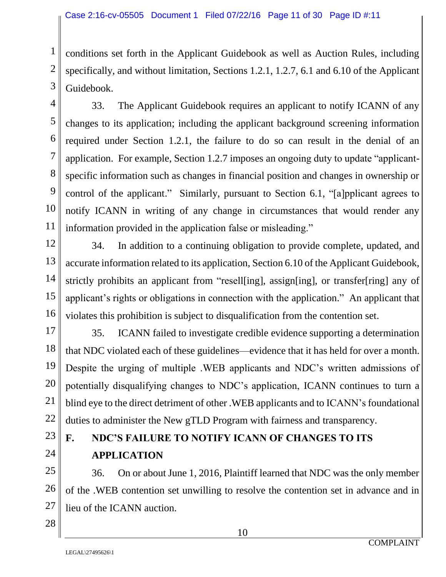conditions set forth in the Applicant Guidebook as well as Auction Rules, including specifically, and without limitation, Sections 1.2.1, 1.2.7, 6.1 and 6.10 of the Applicant Guidebook.

33. The Applicant Guidebook requires an applicant to notify ICANN of any changes to its application; including the applicant background screening information required under Section 1.2.1, the failure to do so can result in the denial of an application. For example, Section 1.2.7 imposes an ongoing duty to update "applicantspecific information such as changes in financial position and changes in ownership or control of the applicant." Similarly, pursuant to Section 6.1, "[a]pplicant agrees to notify ICANN in writing of any change in circumstances that would render any information provided in the application false or misleading."

34. In addition to a continuing obligation to provide complete, updated, and accurate information related to its application, Section 6.10 of the Applicant Guidebook, strictly prohibits an applicant from "resell[ing], assign[ing], or transfer[ring] any of applicant's rights or obligations in connection with the application." An applicant that violates this prohibition is subject to disqualification from the contention set.

35. ICANN failed to investigate credible evidence supporting a determination that NDC violated each of these guidelines—evidence that it has held for over a month. Despite the urging of multiple .WEB applicants and NDC's written admissions of potentially disqualifying changes to NDC's application, ICANN continues to turn a blind eye to the direct detriment of other .WEB applicants and to ICANN's foundational duties to administer the New gTLD Program with fairness and transparency.

# **F. NDC'S FAILURE TO NOTIFY ICANN OF CHANGES TO ITS APPLICATION**

36. On or about June 1, 2016, Plaintiff learned that NDC was the only member of the .WEB contention set unwilling to resolve the contention set in advance and in lieu of the ICANN auction.

10

1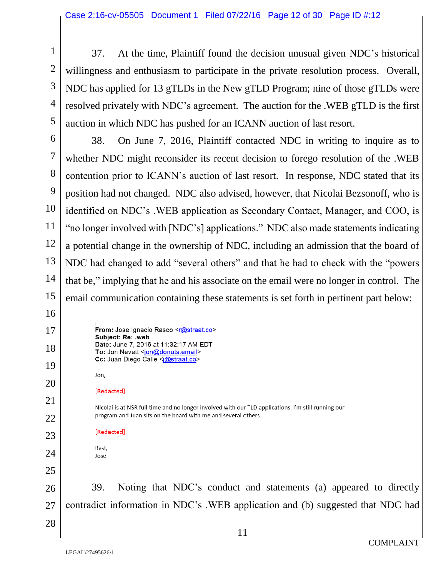37. At the time, Plaintiff found the decision unusual given NDC's historical willingness and enthusiasm to participate in the private resolution process. Overall, NDC has applied for 13 gTLDs in the New gTLD Program; nine of those gTLDs were resolved privately with NDC's agreement. The auction for the .WEB gTLD is the first auction in which NDC has pushed for an ICANN auction of last resort.

6 7 8 9 12 13 14 15 38. On June 7, 2016, Plaintiff contacted NDC in writing to inquire as to whether NDC might reconsider its recent decision to forego resolution of the .WEB contention prior to ICANN's auction of last resort. In response, NDC stated that its position had not changed. NDC also advised, however, that Nicolai Bezsonoff, who is identified on NDC's .WEB application as Secondary Contact, Manager, and COO, is "no longer involved with [NDC's] applications." NDC also made statements indicating a potential change in the ownership of NDC, including an admission that the board of NDC had changed to add "several others" and that he had to check with the "powers that be," implying that he and his associate on the email were no longer in control. The email communication containing these statements is set forth in pertinent part below:

> From: Jose Ignacio Rasco <r@straat.co> Subject: Re: .web Date: June 7, 2016 at 11:32:17 AM EDT To: Jon Nevett <jon@donuts.email>

Cc: Juan Diego Calle <j@straat.co>

1

2

3

4

5

10

11

16

17

18

19

20

21

22

23

24

25

28

Jon, [Redacted] Nicolai is at NSR full time and no longer involved with our TLD applications. I'm still running our program and Juan sits on the board with me and several others. [Redacted] Best, Jose

26 27 39. Noting that NDC's conduct and statements (a) appeared to directly contradict information in NDC's .WEB application and (b) suggested that NDC had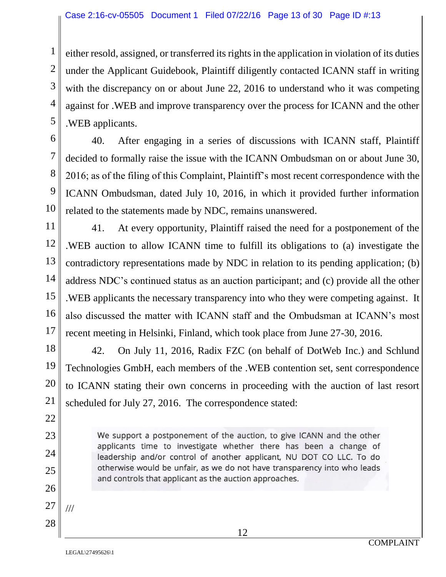either resold, assigned, or transferred its rights in the application in violation of its duties under the Applicant Guidebook, Plaintiff diligently contacted ICANN staff in writing with the discrepancy on or about June 22, 2016 to understand who it was competing against for .WEB and improve transparency over the process for ICANN and the other .WEB applicants.

40. After engaging in a series of discussions with ICANN staff, Plaintiff decided to formally raise the issue with the ICANN Ombudsman on or about June 30, 2016; as of the filing of this Complaint, Plaintiff's most recent correspondence with the ICANN Ombudsman, dated July 10, 2016, in which it provided further information related to the statements made by NDC, remains unanswered.

41. At every opportunity, Plaintiff raised the need for a postponement of the .WEB auction to allow ICANN time to fulfill its obligations to (a) investigate the contradictory representations made by NDC in relation to its pending application; (b) address NDC's continued status as an auction participant; and (c) provide all the other .WEB applicants the necessary transparency into who they were competing against. It also discussed the matter with ICANN staff and the Ombudsman at ICANN's most recent meeting in Helsinki, Finland, which took place from June 27-30, 2016.

42. On July 11, 2016, Radix FZC (on behalf of DotWeb Inc.) and Schlund Technologies GmbH, each members of the .WEB contention set, sent correspondence to ICANN stating their own concerns in proceeding with the auction of last resort scheduled for July 27, 2016. The correspondence stated:

> We support a postponement of the auction, to give ICANN and the other applicants time to investigate whether there has been a change of leadership and/or control of another applicant, NU DOT CO LLC. To do otherwise would be unfair, as we do not have transparency into who leads and controls that applicant as the auction approaches.

1

2

///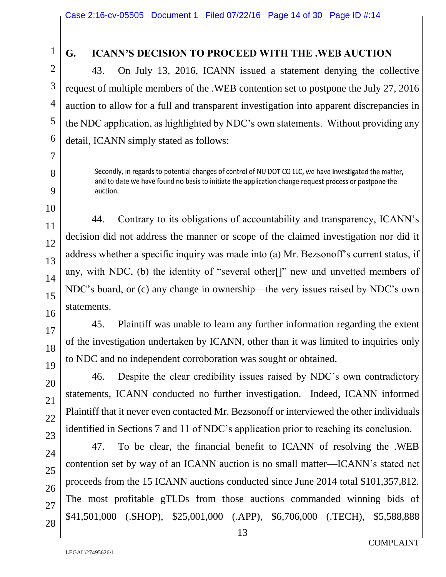1

2

3

#### **G. ICANN'S DECISION TO PROCEED WITH THE .WEB AUCTION**

43. On July 13, 2016, ICANN issued a statement denying the collective request of multiple members of the .WEB contention set to postpone the July 27, 2016 auction to allow for a full and transparent investigation into apparent discrepancies in the NDC application, as highlighted by NDC's own statements. Without providing any detail, ICANN simply stated as follows:

Secondly, in regards to potential changes of control of NU DOT CO LLC, we have investigated the matter. and to date we have found no basis to initiate the application change request process or postpone the auction.

44. Contrary to its obligations of accountability and transparency, ICANN's decision did not address the manner or scope of the claimed investigation nor did it address whether a specific inquiry was made into (a) Mr. Bezsonoff's current status, if any, with NDC, (b) the identity of "several other[]" new and unvetted members of NDC's board, or (c) any change in ownership—the very issues raised by NDC's own statements.

45. Plaintiff was unable to learn any further information regarding the extent of the investigation undertaken by ICANN, other than it was limited to inquiries only to NDC and no independent corroboration was sought or obtained.

46. Despite the clear credibility issues raised by NDC's own contradictory statements, ICANN conducted no further investigation. Indeed, ICANN informed Plaintiff that it never even contacted Mr. Bezsonoff or interviewed the other individuals identified in Sections 7 and 11 of NDC's application prior to reaching its conclusion.

47. To be clear, the financial benefit to ICANN of resolving the .WEB contention set by way of an ICANN auction is no small matter—ICANN's stated net proceeds from the 15 ICANN auctions conducted since June 2014 total \$101,357,812. The most profitable gTLDs from those auctions commanded winning bids of \$41,501,000 (.SHOP), \$25,001,000 (.APP), \$6,706,000 (.TECH), \$5,588,888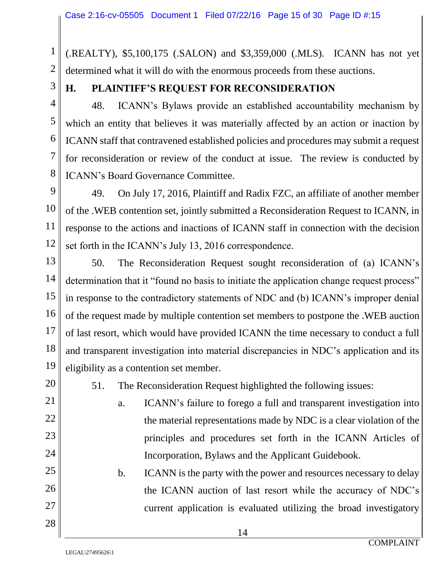(.REALTY), \$5,100,175 (.SALON) and \$3,359,000 (.MLS). ICANN has not yet determined what it will do with the enormous proceeds from these auctions.

1

2

3

4

5

6

7

8

10

11

13

14

15

16

17

18

19

#### **H. PLAINTIFF'S REQUEST FOR RECONSIDERATION**

48. ICANN's Bylaws provide an established accountability mechanism by which an entity that believes it was materially affected by an action or inaction by ICANN staff that contravened established policies and procedures may submit a request for reconsideration or review of the conduct at issue. The review is conducted by ICANN's Board Governance Committee.

9 12 49. On July 17, 2016, Plaintiff and Radix FZC, an affiliate of another member of the .WEB contention set, jointly submitted a Reconsideration Request to ICANN, in response to the actions and inactions of ICANN staff in connection with the decision set forth in the ICANN's July 13, 2016 correspondence.

50. The Reconsideration Request sought reconsideration of (a) ICANN's determination that it "found no basis to initiate the application change request process" in response to the contradictory statements of NDC and (b) ICANN's improper denial of the request made by multiple contention set members to postpone the .WEB auction of last resort, which would have provided ICANN the time necessary to conduct a full and transparent investigation into material discrepancies in NDC's application and its eligibility as a contention set member.

20

21

22

23

24

25

26

27

28

51. The Reconsideration Request highlighted the following issues:

a. ICANN's failure to forego a full and transparent investigation into the material representations made by NDC is a clear violation of the principles and procedures set forth in the ICANN Articles of Incorporation, Bylaws and the Applicant Guidebook.

b. ICANN is the party with the power and resources necessary to delay the ICANN auction of last resort while the accuracy of NDC's current application is evaluated utilizing the broad investigatory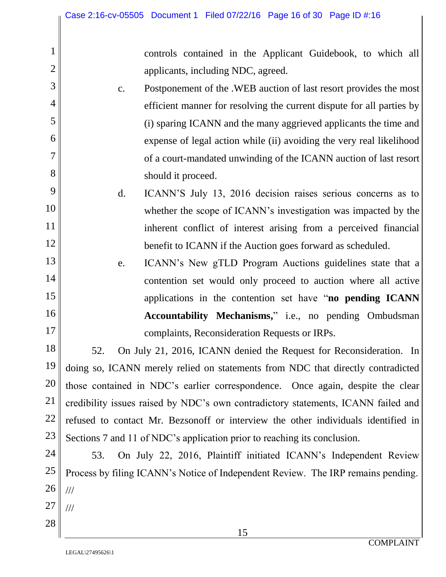controls contained in the Applicant Guidebook, to which all applicants, including NDC, agreed.

- c. Postponement of the .WEB auction of last resort provides the most efficient manner for resolving the current dispute for all parties by (i) sparing ICANN and the many aggrieved applicants the time and expense of legal action while (ii) avoiding the very real likelihood of a court-mandated unwinding of the ICANN auction of last resort should it proceed.
- d. ICANN'S July 13, 2016 decision raises serious concerns as to whether the scope of ICANN's investigation was impacted by the inherent conflict of interest arising from a perceived financial benefit to ICANN if the Auction goes forward as scheduled.
- e. ICANN's New gTLD Program Auctions guidelines state that a contention set would only proceed to auction where all active applications in the contention set have "**no pending ICANN Accountability Mechanisms,**" i.e., no pending Ombudsman complaints, Reconsideration Requests or IRPs.

18 19 20 21 22 23 52. On July 21, 2016, ICANN denied the Request for Reconsideration. In doing so, ICANN merely relied on statements from NDC that directly contradicted those contained in NDC's earlier correspondence. Once again, despite the clear credibility issues raised by NDC's own contradictory statements, ICANN failed and refused to contact Mr. Bezsonoff or interview the other individuals identified in Sections 7 and 11 of NDC's application prior to reaching its conclusion.

24 25 26 27 28 53. On July 22, 2016, Plaintiff initiated ICANN's Independent Review Process by filing ICANN's Notice of Independent Review. The IRP remains pending. /// ///

1

2

3

4

5

6

7

8

9

10

11

12

13

14

15

16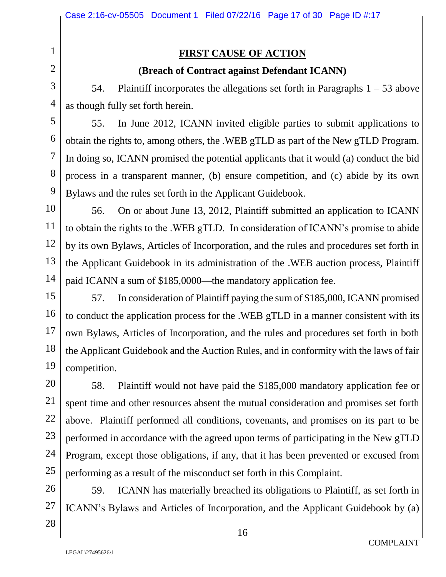#### **FIRST CAUSE OF ACTION**

#### **(Breach of Contract against Defendant ICANN)**

54. Plaintiff incorporates the allegations set forth in Paragraphs  $1 - 53$  above as though fully set forth herein.

55. In June 2012, ICANN invited eligible parties to submit applications to obtain the rights to, among others, the .WEB gTLD as part of the New gTLD Program. In doing so, ICANN promised the potential applicants that it would (a) conduct the bid process in a transparent manner, (b) ensure competition, and (c) abide by its own Bylaws and the rules set forth in the Applicant Guidebook.

56. On or about June 13, 2012, Plaintiff submitted an application to ICANN to obtain the rights to the .WEB gTLD. In consideration of ICANN's promise to abide by its own Bylaws, Articles of Incorporation, and the rules and procedures set forth in the Applicant Guidebook in its administration of the .WEB auction process, Plaintiff paid ICANN a sum of \$185,0000—the mandatory application fee.

57. In consideration of Plaintiff paying the sum of \$185,000, ICANN promised to conduct the application process for the .WEB gTLD in a manner consistent with its own Bylaws, Articles of Incorporation, and the rules and procedures set forth in both the Applicant Guidebook and the Auction Rules, and in conformity with the laws of fair competition.

58. Plaintiff would not have paid the \$185,000 mandatory application fee or spent time and other resources absent the mutual consideration and promises set forth above. Plaintiff performed all conditions, covenants, and promises on its part to be performed in accordance with the agreed upon terms of participating in the New gTLD Program, except those obligations, if any, that it has been prevented or excused from performing as a result of the misconduct set forth in this Complaint.

59. ICANN has materially breached its obligations to Plaintiff, as set forth in ICANN's Bylaws and Articles of Incorporation, and the Applicant Guidebook by (a)

16

27 28

1

2

3

4

5

6

7

8

9

10

11

12

13

14

15

16

17

18

19

20

21

22

23

24

25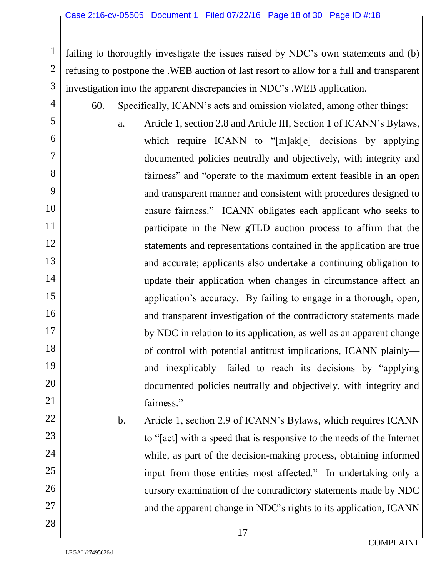failing to thoroughly investigate the issues raised by NDC's own statements and (b) refusing to postpone the .WEB auction of last resort to allow for a full and transparent investigation into the apparent discrepancies in NDC's .WEB application.

- 60. Specifically, ICANN's acts and omission violated, among other things:
- a. Article 1, section 2.8 and Article III, Section 1 of ICANN's Bylaws, which require ICANN to "[m]ak[e] decisions by applying documented policies neutrally and objectively, with integrity and fairness" and "operate to the maximum extent feasible in an open and transparent manner and consistent with procedures designed to ensure fairness." ICANN obligates each applicant who seeks to participate in the New gTLD auction process to affirm that the statements and representations contained in the application are true and accurate; applicants also undertake a continuing obligation to update their application when changes in circumstance affect an application's accuracy. By failing to engage in a thorough, open, and transparent investigation of the contradictory statements made by NDC in relation to its application, as well as an apparent change of control with potential antitrust implications, ICANN plainly and inexplicably—failed to reach its decisions by "applying documented policies neutrally and objectively, with integrity and fairness."
	- b. Article 1, section 2.9 of ICANN's Bylaws, which requires ICANN to "[act] with a speed that is responsive to the needs of the Internet while, as part of the decision-making process, obtaining informed input from those entities most affected." In undertaking only a cursory examination of the contradictory statements made by NDC and the apparent change in NDC's rights to its application, ICANN

1

2

3

4

5

6

7

8

9

10

11

12

13

14

15

16

17

18

19

20

21

22

23

24

25

26

27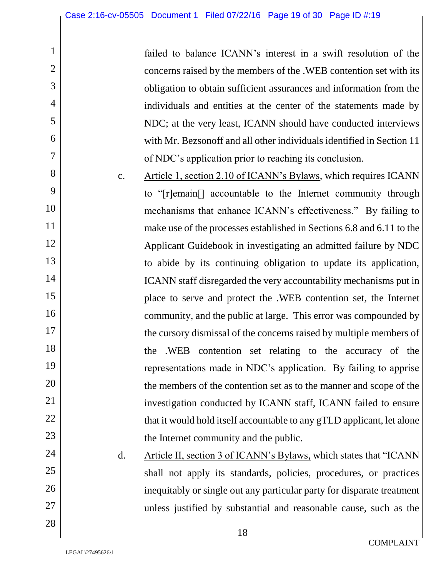failed to balance ICANN's interest in a swift resolution of the concerns raised by the members of the .WEB contention set with its obligation to obtain sufficient assurances and information from the individuals and entities at the center of the statements made by NDC; at the very least, ICANN should have conducted interviews with Mr. Bezsonoff and all other individuals identified in Section 11 of NDC's application prior to reaching its conclusion.

c. Article 1, section 2.10 of ICANN's Bylaws, which requires ICANN to "[r]emain[] accountable to the Internet community through mechanisms that enhance ICANN's effectiveness." By failing to make use of the processes established in Sections 6.8 and 6.11 to the Applicant Guidebook in investigating an admitted failure by NDC to abide by its continuing obligation to update its application, ICANN staff disregarded the very accountability mechanisms put in place to serve and protect the .WEB contention set, the Internet community, and the public at large. This error was compounded by the cursory dismissal of the concerns raised by multiple members of the .WEB contention set relating to the accuracy of the representations made in NDC's application. By failing to apprise the members of the contention set as to the manner and scope of the investigation conducted by ICANN staff, ICANN failed to ensure that it would hold itself accountable to any gTLD applicant, let alone the Internet community and the public.

d. Article II, section 3 of ICANN's Bylaws, which states that "ICANN shall not apply its standards, policies, procedures, or practices inequitably or single out any particular party for disparate treatment unless justified by substantial and reasonable cause, such as the

1

2

3

4

5

6

7

8

9

10

11

12

13

14

15

16

17

18

19

20

21

22

23

24

25

26

27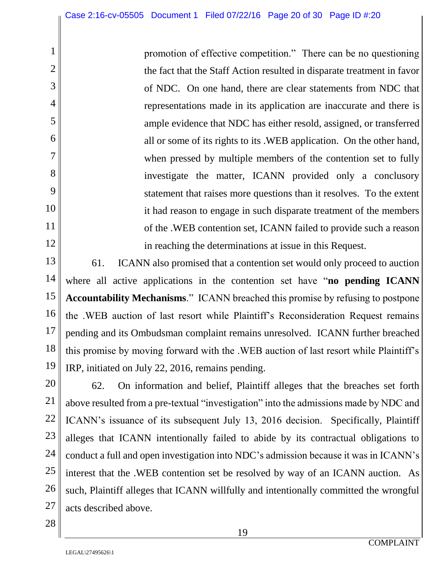promotion of effective competition." There can be no questioning the fact that the Staff Action resulted in disparate treatment in favor of NDC. On one hand, there are clear statements from NDC that representations made in its application are inaccurate and there is ample evidence that NDC has either resold, assigned, or transferred all or some of its rights to its .WEB application. On the other hand, when pressed by multiple members of the contention set to fully investigate the matter, ICANN provided only a conclusory statement that raises more questions than it resolves. To the extent it had reason to engage in such disparate treatment of the members of the .WEB contention set, ICANN failed to provide such a reason in reaching the determinations at issue in this Request.

13 14 15 16 17 18 19 61. ICANN also promised that a contention set would only proceed to auction where all active applications in the contention set have "**no pending ICANN Accountability Mechanisms**." ICANN breached this promise by refusing to postpone the .WEB auction of last resort while Plaintiff's Reconsideration Request remains pending and its Ombudsman complaint remains unresolved. ICANN further breached this promise by moving forward with the .WEB auction of last resort while Plaintiff's IRP, initiated on July 22, 2016, remains pending.

62. On information and belief, Plaintiff alleges that the breaches set forth above resulted from a pre-textual "investigation" into the admissions made by NDC and ICANN's issuance of its subsequent July 13, 2016 decision. Specifically, Plaintiff alleges that ICANN intentionally failed to abide by its contractual obligations to conduct a full and open investigation into NDC's admission because it was in ICANN's interest that the .WEB contention set be resolved by way of an ICANN auction. As such, Plaintiff alleges that ICANN willfully and intentionally committed the wrongful acts described above.

1

2

3

4

5

6

7

8

9

10

11

12

20

21

22

23

24

25

26

27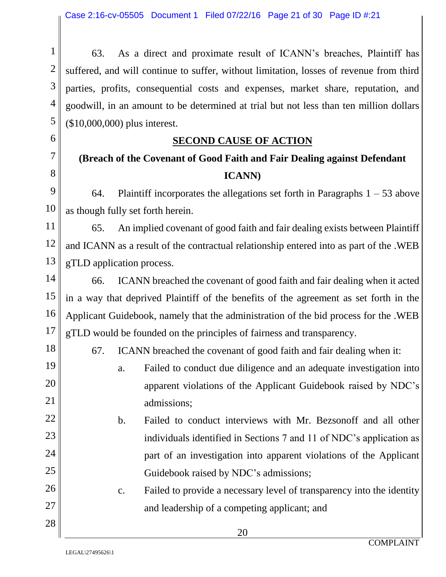63. As a direct and proximate result of ICANN's breaches, Plaintiff has suffered, and will continue to suffer, without limitation, losses of revenue from third parties, profits, consequential costs and expenses, market share, reputation, and goodwill, in an amount to be determined at trial but not less than ten million dollars (\$10,000,000) plus interest.

#### **SECOND CAUSE OF ACTION**

# **(Breach of the Covenant of Good Faith and Fair Dealing against Defendant ICANN)**

64. Plaintiff incorporates the allegations set forth in Paragraphs  $1 - 53$  above as though fully set forth herein.

65. An implied covenant of good faith and fair dealing exists between Plaintiff and ICANN as a result of the contractual relationship entered into as part of the .WEB gTLD application process.

66. ICANN breached the covenant of good faith and fair dealing when it acted in a way that deprived Plaintiff of the benefits of the agreement as set forth in the Applicant Guidebook, namely that the administration of the bid process for the .WEB gTLD would be founded on the principles of fairness and transparency.

67. ICANN breached the covenant of good faith and fair dealing when it:

a. Failed to conduct due diligence and an adequate investigation into apparent violations of the Applicant Guidebook raised by NDC's admissions;

b. Failed to conduct interviews with Mr. Bezsonoff and all other individuals identified in Sections 7 and 11 of NDC's application as part of an investigation into apparent violations of the Applicant Guidebook raised by NDC's admissions;

c. Failed to provide a necessary level of transparency into the identity and leadership of a competing applicant; and

1

2

3

4

5

6

7

8

9

10

11

12

13

14

15

16

17

18

19

20

21

22

23

24

25

26

27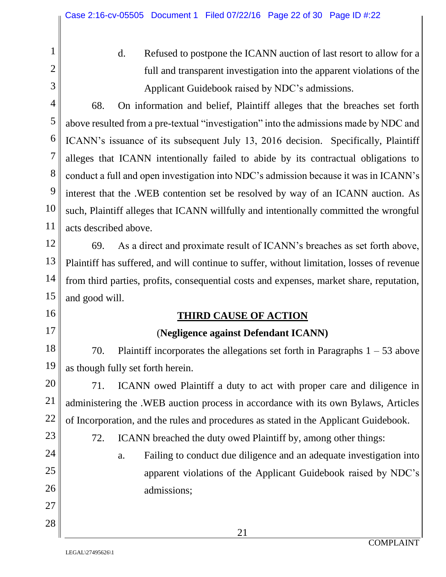d. Refused to postpone the ICANN auction of last resort to allow for a full and transparent investigation into the apparent violations of the Applicant Guidebook raised by NDC's admissions.

1

2

3

4

5

6

7

8

9

10

11

12

13

14

15

16

17

20

21

22

24

25

26

27

28

68. On information and belief, Plaintiff alleges that the breaches set forth above resulted from a pre-textual "investigation" into the admissions made by NDC and ICANN's issuance of its subsequent July 13, 2016 decision. Specifically, Plaintiff alleges that ICANN intentionally failed to abide by its contractual obligations to conduct a full and open investigation into NDC's admission because it was in ICANN's interest that the .WEB contention set be resolved by way of an ICANN auction. As such, Plaintiff alleges that ICANN willfully and intentionally committed the wrongful acts described above.

69. As a direct and proximate result of ICANN's breaches as set forth above, Plaintiff has suffered, and will continue to suffer, without limitation, losses of revenue from third parties, profits, consequential costs and expenses, market share, reputation, and good will.

#### **THIRD CAUSE OF ACTION**

#### (**Negligence against Defendant ICANN)**

18 19 70. Plaintiff incorporates the allegations set forth in Paragraphs  $1 - 53$  above as though fully set forth herein.

71. ICANN owed Plaintiff a duty to act with proper care and diligence in administering the .WEB auction process in accordance with its own Bylaws, Articles of Incorporation, and the rules and procedures as stated in the Applicant Guidebook.

- 23
- 72. ICANN breached the duty owed Plaintiff by, among other things:
	- a. Failing to conduct due diligence and an adequate investigation into apparent violations of the Applicant Guidebook raised by NDC's admissions;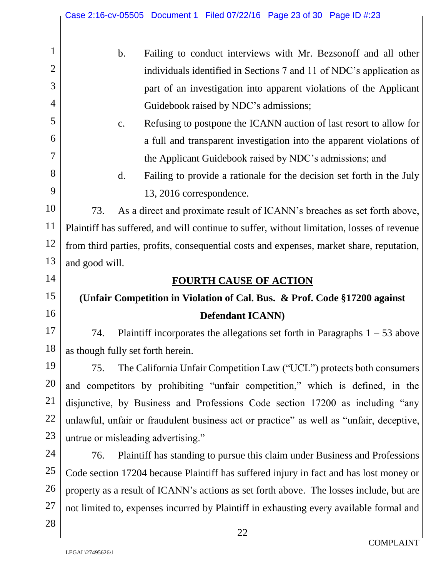|                | Case 2:16-cv-05505 Document 1 Filed 07/22/16 Page 23 of 30 Page ID #:23                    |  |  |
|----------------|--------------------------------------------------------------------------------------------|--|--|
|                | Failing to conduct interviews with Mr. Bezsonoff and all other<br>$\mathbf b$ .            |  |  |
| $\overline{2}$ | individuals identified in Sections 7 and 11 of NDC's application as                        |  |  |
| 3              | part of an investigation into apparent violations of the Applicant                         |  |  |
| 4              | Guidebook raised by NDC's admissions;                                                      |  |  |
| 5              | Refusing to postpone the ICANN auction of last resort to allow for<br>c.                   |  |  |
| 6              | a full and transparent investigation into the apparent violations of                       |  |  |
| 7              | the Applicant Guidebook raised by NDC's admissions; and                                    |  |  |
| 8              | d.<br>Failing to provide a rationale for the decision set forth in the July                |  |  |
| 9              | 13, 2016 correspondence.                                                                   |  |  |
| 10             | 73.<br>As a direct and proximate result of ICANN's breaches as set forth above,            |  |  |
| 11             | Plaintiff has suffered, and will continue to suffer, without limitation, losses of revenue |  |  |
| 12             | from third parties, profits, consequential costs and expenses, market share, reputation,   |  |  |
| 13             | and good will.                                                                             |  |  |
| 14             | <b>FOURTH CAUSE OF ACTION</b>                                                              |  |  |
| 15             | (Unfair Competition in Violation of Cal. Bus. & Prof. Code §17200 against                  |  |  |
| 16             | <b>Defendant ICANN</b> )                                                                   |  |  |
| 17             | Plaintiff incorporates the allegations set forth in Paragraphs $1 - 53$ above<br>74.       |  |  |
| 18             | as though fully set forth herein.                                                          |  |  |
| 19             | The California Unfair Competition Law ("UCL") protects both consumers<br>75.               |  |  |
| 20             | and competitors by prohibiting "unfair competition," which is defined, in the              |  |  |
| <b>21</b>      | disjunctive, by Business and Professions Code section 17200 as including "any              |  |  |
| 22             | unlawful, unfair or fraudulent business act or practice" as well as "unfair, deceptive,    |  |  |
| 23             | untrue or misleading advertising."                                                         |  |  |
| 24             | Plaintiff has standing to pursue this claim under Business and Professions<br>76.          |  |  |
| 25             | Code section 17204 because Plaintiff has suffered injury in fact and has lost money or     |  |  |
| 26             | property as a result of ICANN's actions as set forth above. The losses include, but are    |  |  |
| 27             | not limited to, expenses incurred by Plaintiff in exhausting every available formal and    |  |  |
| 28             | 22                                                                                         |  |  |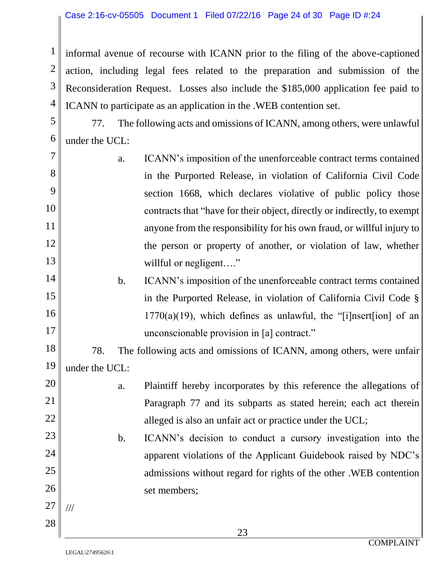informal avenue of recourse with ICANN prior to the filing of the above-captioned action, including legal fees related to the preparation and submission of the Reconsideration Request. Losses also include the \$185,000 application fee paid to ICANN to participate as an application in the .WEB contention set.

5 6 77. The following acts and omissions of ICANN, among others, were unlawful under the UCL:

- 7 8 9 10 11 12 13 14 a. ICANN's imposition of the unenforceable contract terms contained in the Purported Release, in violation of California Civil Code section 1668, which declares violative of public policy those contracts that "have for their object, directly or indirectly, to exempt anyone from the responsibility for his own fraud, or willful injury to the person or property of another, or violation of law, whether willful or negligent...."
	- b. ICANN's imposition of the unenforceable contract terms contained in the Purported Release, in violation of California Civil Code §  $1770(a)(19)$ , which defines as unlawful, the "[i]nsert[ion] of an unconscionable provision in [a] contract."

18 19 78. The following acts and omissions of ICANN, among others, were unfair under the UCL:

> a. Plaintiff hereby incorporates by this reference the allegations of Paragraph 77 and its subparts as stated herein; each act therein alleged is also an unfair act or practice under the UCL;

# b. ICANN's decision to conduct a cursory investigation into the apparent violations of the Applicant Guidebook raised by NDC's admissions without regard for rights of the other .WEB contention set members;

1

2

3

4

15

16

17

20

21

22

23

24

25

26

27

///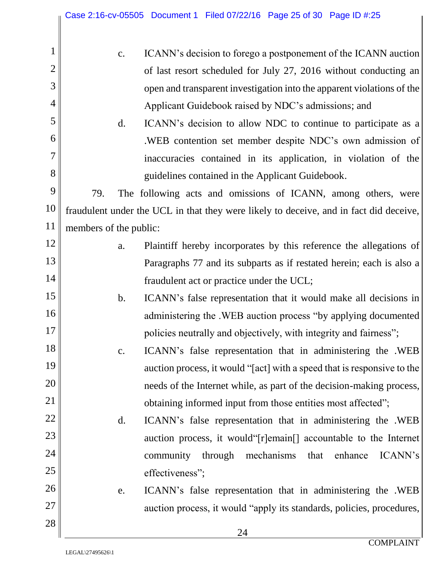|                |     | $C_{\bullet}$ | ICANN's decision to forego a postponement of the ICANN auction                         |
|----------------|-----|---------------|----------------------------------------------------------------------------------------|
|                |     |               | of last resort scheduled for July 27, 2016 without conducting an                       |
|                |     |               | open and transparent investigation into the apparent violations of the                 |
| $\overline{4}$ |     |               | Applicant Guidebook raised by NDC's admissions; and                                    |
| 5              |     | d.            | ICANN's decision to allow NDC to continue to participate as a                          |
| 6              |     |               | .WEB contention set member despite NDC's own admission of                              |
|                |     |               | inaccuracies contained in its application, in violation of the                         |
| 8              |     |               | guidelines contained in the Applicant Guidebook.                                       |
| 9              | 79. |               | The following acts and omissions of ICANN, among others, were                          |
|                |     |               | fraudulent under the UCL in that they were likely to deceive, and in fact did deceive, |

- a. Plaintiff hereby incorporates by this reference the allegations of Paragraphs 77 and its subparts as if restated herein; each is also a fraudulent act or practice under the UCL;
	- b. ICANN's false representation that it would make all decisions in administering the .WEB auction process "by applying documented policies neutrally and objectively, with integrity and fairness";
- c. ICANN's false representation that in administering the .WEB auction process, it would "[act] with a speed that is responsive to the needs of the Internet while, as part of the decision-making process, obtaining informed input from those entities most affected";
	- d. ICANN's false representation that in administering the .WEB auction process, it would"[r]emain[] accountable to the Internet community through mechanisms that enhance ICANN's effectiveness";
		- e. ICANN's false representation that in administering the .WEB auction process, it would "apply its standards, policies, procedures,

11

members of the public:

12

13

14

15

16

17

18

19

20

21

22

23

24

25

26

27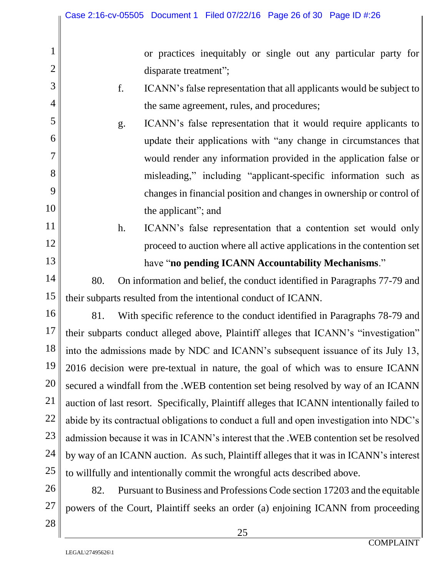or practices inequitably or single out any particular party for disparate treatment";

f. ICANN's false representation that all applicants would be subject to the same agreement, rules, and procedures;

g. ICANN's false representation that it would require applicants to update their applications with "any change in circumstances that would render any information provided in the application false or misleading," including "applicant-specific information such as changes in financial position and changes in ownership or control of the applicant"; and

h. ICANN's false representation that a contention set would only proceed to auction where all active applications in the contention set have "**no pending ICANN Accountability Mechanisms**."

80. On information and belief, the conduct identified in Paragraphs 77-79 and their subparts resulted from the intentional conduct of ICANN.

16 17 18 19 20 22 23 24 25 81. With specific reference to the conduct identified in Paragraphs 78-79 and their subparts conduct alleged above, Plaintiff alleges that ICANN's "investigation" into the admissions made by NDC and ICANN's subsequent issuance of its July 13, 2016 decision were pre-textual in nature, the goal of which was to ensure ICANN secured a windfall from the .WEB contention set being resolved by way of an ICANN auction of last resort. Specifically, Plaintiff alleges that ICANN intentionally failed to abide by its contractual obligations to conduct a full and open investigation into NDC's admission because it was in ICANN's interest that the .WEB contention set be resolved by way of an ICANN auction. As such, Plaintiff alleges that it was in ICANN's interest to willfully and intentionally commit the wrongful acts described above.

26 82. Pursuant to Business and Professions Code section 17203 and the equitable powers of the Court, Plaintiff seeks an order (a) enjoining ICANN from proceeding

1

2

3

4

5

6

7

8

9

10

11

12

13

14

15

21

27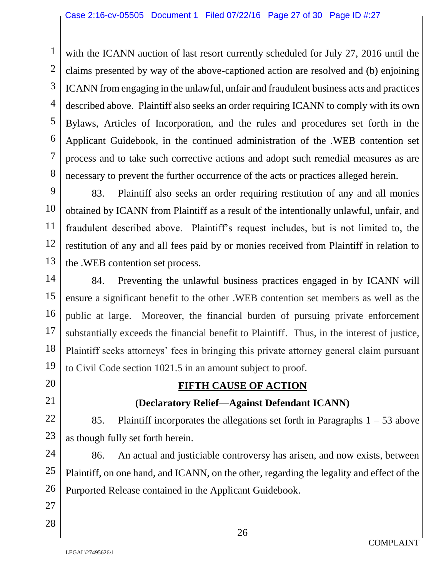with the ICANN auction of last resort currently scheduled for July 27, 2016 until the claims presented by way of the above-captioned action are resolved and (b) enjoining ICANN from engaging in the unlawful, unfair and fraudulent business acts and practices described above. Plaintiff also seeks an order requiring ICANN to comply with its own Bylaws, Articles of Incorporation, and the rules and procedures set forth in the Applicant Guidebook, in the continued administration of the .WEB contention set process and to take such corrective actions and adopt such remedial measures as are necessary to prevent the further occurrence of the acts or practices alleged herein.

83. Plaintiff also seeks an order requiring restitution of any and all monies obtained by ICANN from Plaintiff as a result of the intentionally unlawful, unfair, and fraudulent described above. Plaintiff's request includes, but is not limited to, the restitution of any and all fees paid by or monies received from Plaintiff in relation to the .WEB contention set process.

84. Preventing the unlawful business practices engaged in by ICANN will ensure a significant benefit to the other .WEB contention set members as well as the public at large. Moreover, the financial burden of pursuing private enforcement substantially exceeds the financial benefit to Plaintiff. Thus, in the interest of justice, Plaintiff seeks attorneys' fees in bringing this private attorney general claim pursuant to Civil Code section 1021.5 in an amount subject to proof.

# **FIFTH CAUSE OF ACTION**

## **(Declaratory Relief—Against Defendant ICANN)**

85. Plaintiff incorporates the allegations set forth in Paragraphs  $1 - 53$  above as though fully set forth herein.

86. An actual and justiciable controversy has arisen, and now exists, between Plaintiff, on one hand, and ICANN, on the other, regarding the legality and effect of the Purported Release contained in the Applicant Guidebook.

1

2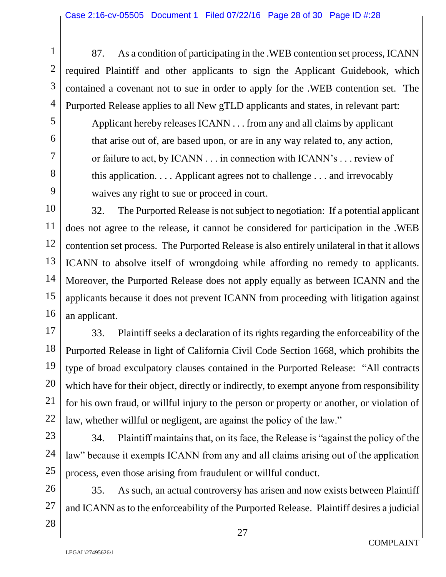87. As a condition of participating in the .WEB contention set process, ICANN required Plaintiff and other applicants to sign the Applicant Guidebook, which contained a covenant not to sue in order to apply for the .WEB contention set. The Purported Release applies to all New gTLD applicants and states, in relevant part: Applicant hereby releases ICANN . . . from any and all claims by applicant that arise out of, are based upon, or are in any way related to, any action, or failure to act, by ICANN . . . in connection with ICANN's . . . review of this application. . . . Applicant agrees not to challenge . . . and irrevocably waives any right to sue or proceed in court.

32. The Purported Release is not subject to negotiation: If a potential applicant does not agree to the release, it cannot be considered for participation in the .WEB contention set process. The Purported Release is also entirely unilateral in that it allows ICANN to absolve itself of wrongdoing while affording no remedy to applicants. Moreover, the Purported Release does not apply equally as between ICANN and the applicants because it does not prevent ICANN from proceeding with litigation against an applicant.

33. Plaintiff seeks a declaration of its rights regarding the enforceability of the Purported Release in light of California Civil Code Section 1668, which prohibits the type of broad exculpatory clauses contained in the Purported Release: "All contracts which have for their object, directly or indirectly, to exempt anyone from responsibility for his own fraud, or willful injury to the person or property or another, or violation of law, whether willful or negligent, are against the policy of the law."

34. Plaintiff maintains that, on its face, the Release is "against the policy of the law" because it exempts ICANN from any and all claims arising out of the application process, even those arising from fraudulent or willful conduct.

35. As such, an actual controversy has arisen and now exists between Plaintiff and ICANN as to the enforceability of the Purported Release.Plaintiff desires a judicial

1

2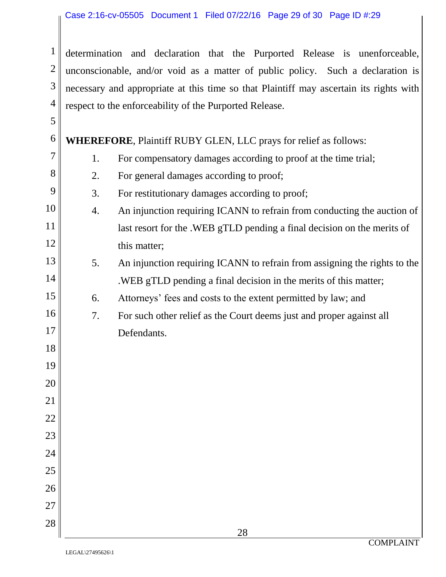determination and declaration that the Purported Release is unenforceable, unconscionable, and/or void as a matter of public policy. Such a declaration is necessary and appropriate at this time so that Plaintiff may ascertain its rights with respect to the enforceability of the Purported Release.

 **WHEREFORE**, Plaintiff RUBY GLEN, LLC prays for relief as follows:

- 1. For compensatory damages according to proof at the time trial;
- 2. For general damages according to proof;
- 3. For restitutionary damages according to proof;
- 4. An injunction requiring ICANN to refrain from conducting the auction of last resort for the .WEB gTLD pending a final decision on the merits of this matter;
	- 5. An injunction requiring ICANN to refrain from assigning the rights to the .WEB gTLD pending a final decision in the merits of this matter;
		- 6. Attorneys' fees and costs to the extent permitted by law; and
		- 7. For such other relief as the Court deems just and proper against all Defendants.